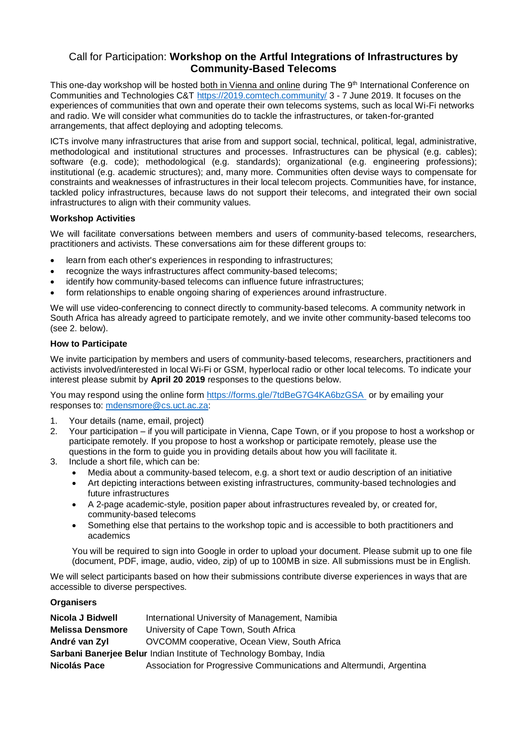## Call for Participation: **Workshop on the Artful Integrations of Infrastructures by Community-Based Telecoms**

This one-day workshop will be hosted both in Vienna and online during The 9<sup>th</sup> International Conference on Communities and Technologies C&T<https://2019.comtech.community/> 3 - 7 June 2019. It focuses on the experiences of communities that own and operate their own telecoms systems, such as local Wi-Fi networks and radio. We will consider what communities do to tackle the infrastructures, or taken-for-granted arrangements, that affect deploying and adopting telecoms.

ICTs involve many infrastructures that arise from and support social, technical, political, legal, administrative, methodological and institutional structures and processes. Infrastructures can be physical (e.g. cables); software (e.g. code); methodological (e.g. standards); organizational (e.g. engineering professions); institutional (e.g. academic structures); and, many more. Communities often devise ways to compensate for constraints and weaknesses of infrastructures in their local telecom projects. Communities have, for instance, tackled policy infrastructures, because laws do not support their telecoms, and integrated their own social infrastructures to align with their community values.

## **Workshop Activities**

We will facilitate conversations between members and users of community-based telecoms, researchers, practitioners and activists. These conversations aim for these different groups to:

- learn from each other's experiences in responding to infrastructures;
- recognize the ways infrastructures affect community-based telecoms;
- identify how community-based telecoms can influence future infrastructures;
- form relationships to enable ongoing sharing of experiences around infrastructure.

We will use video-conferencing to connect directly to community-based telecoms. A community network in South Africa has already agreed to participate remotely, and we invite other community-based telecoms too (see 2. below).

## **How to Participate**

We invite participation by members and users of community-based telecoms, researchers, practitioners and activists involved/interested in local Wi-Fi or GSM, hyperlocal radio or other local telecoms. To indicate your interest please submit by **April 20 2019** responses to the questions below.

You may respond using the online form<https://forms.gle/7tdBeG7G4KA6bzGSA> or by emailing your responses to: [mdensmore@cs.uct.ac.za:](mailto:mdensmore@cs.uct.ac.za)

- 1. Your details (name, email, project)
- 2. Your participation if you will participate in Vienna, Cape Town, or if you propose to host a workshop or participate remotely. If you propose to host a workshop or participate remotely, please use the questions in the form to guide you in providing details about how you will facilitate it.
- 3. Include a short file, which can be:
	- Media about a community-based telecom, e.g. a short text or audio description of an initiative
	- Art depicting interactions between existing infrastructures, community-based technologies and future infrastructures
	- A 2-page academic-style, position paper about infrastructures revealed by, or created for, community-based telecoms
	- Something else that pertains to the workshop topic and is accessible to both practitioners and academics

You will be required to sign into Google in order to upload your document. Please submit up to one file (document, PDF, image, audio, video, zip) of up to 100MB in size. All submissions must be in English.

We will select participants based on how their submissions contribute diverse experiences in ways that are accessible to diverse perspectives.

## **Organisers**

| Nicola J Bidwell                                                    | International University of Management, Namibia                      |
|---------------------------------------------------------------------|----------------------------------------------------------------------|
| <b>Melissa Densmore</b>                                             | University of Cape Town, South Africa                                |
| André van Zyl                                                       | OVCOMM cooperative, Ocean View, South Africa                         |
| Sarbani Banerjee Belur Indian Institute of Technology Bombay, India |                                                                      |
| Nicolás Pace                                                        | Association for Progressive Communications and Altermundi, Argentina |